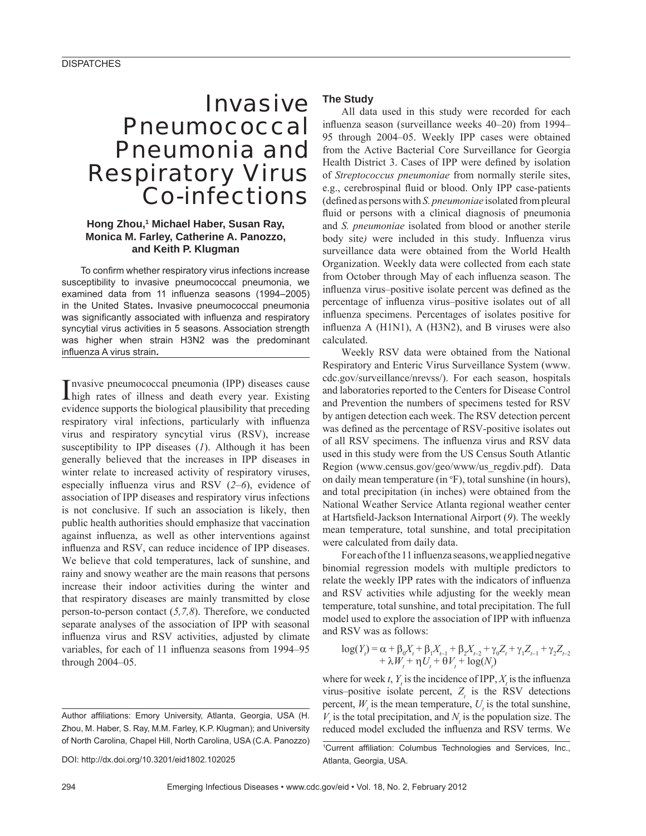# Invasive Pneumococcal Pneumonia and Respiratory Virus Co-infections

# **Hong Zhou,1 Michael Haber, Susan Ray, Monica M. Farley, Catherine A. Panozzo, and Keith P. Klugman**

To confirm whether respiratory virus infections increase susceptibility to invasive pneumococcal pneumonia, we examined data from 11 influenza seasons (1994–2005) in the United States**.** Invasive pneumococcal pneumonia was significantly associated with influenza and respiratory syncytial virus activities in 5 seasons. Association strength was higher when strain H3N2 was the predominant infl uenza A virus strain**.**

Invasive pneumococcal pneumonia (IPP) diseases cause<br>
high rates of illness and death every year. Existing high rates of illness and death every year. Existing evidence supports the biological plausibility that preceding respiratory viral infections, particularly with influenza virus and respiratory syncytial virus (RSV), increase susceptibility to IPP diseases (*1*). Although it has been generally believed that the increases in IPP diseases in winter relate to increased activity of respiratory viruses, especially influenza virus and RSV  $(2-6)$ , evidence of association of IPP diseases and respiratory virus infections is not conclusive. If such an association is likely, then public health authorities should emphasize that vaccination against influenza, as well as other interventions against influenza and RSV, can reduce incidence of IPP diseases. We believe that cold temperatures, lack of sunshine, and rainy and snowy weather are the main reasons that persons increase their indoor activities during the winter and that respiratory diseases are mainly transmitted by close person-to-person contact (*5,7,8*). Therefore, we conducted separate analyses of the association of IPP with seasonal influenza virus and RSV activities, adjusted by climate variables, for each of 11 influenza seasons from 1994–95 through 2004–05.

DOI: http://dx.doi.org/10.3201/eid1802.102025

## **The Study**

All data used in this study were recorded for each influenza season (surveillance weeks 40–20) from 1994– 95 through 2004–05. Weekly IPP cases were obtained from the Active Bacterial Core Surveillance for Georgia Health District 3. Cases of IPP were defined by isolation of *Streptococcus pneumoniae* from normally sterile sites, e.g., cerebrospinal fluid or blood. Only IPP case-patients (defined as persons with *S. pneumoniae* isolated from pleural fluid or persons with a clinical diagnosis of pneumonia and *S. pneumoniae* isolated from blood or another sterile body site) were included in this study. Influenza virus surveillance data were obtained from the World Health Organization. Weekly data were collected from each state from October through May of each influenza season. The influenza virus–positive isolate percent was defined as the percentage of influenza virus–positive isolates out of all influenza specimens. Percentages of isolates positive for influenza  $A$  (H1N1),  $A$  (H3N2), and  $B$  viruses were also calculated.

Weekly RSV data were obtained from the National Respiratory and Enteric Virus Surveillance System (www. cdc.gov/surveillance/nrevss/). For each season, hospitals and laboratories reported to the Centers for Disease Control and Prevention the numbers of specimens tested for RSV by antigen detection each week. The RSV detection percent was defined as the percentage of RSV-positive isolates out of all RSV specimens. The influenza virus and RSV data used in this study were from the US Census South Atlantic Region (www.census.gov/geo/www/us\_regdiv.pdf). Data on daily mean temperature (in  ${}^{\circ}$ F), total sunshine (in hours), and total precipitation (in inches) were obtained from the National Weather Service Atlanta regional weather center at Hartsfield-Jackson International Airport (9). The weekly mean temperature, total sunshine, and total precipitation were calculated from daily data.

For each of the 11 influenza seasons, we applied negative binomial regression models with multiple predictors to relate the weekly IPP rates with the indicators of influenza and RSV activities while adjusting for the weekly mean temperature, total sunshine, and total precipitation. The full model used to explore the association of IPP with influenza and RSV was as follows:

$$
log(Y_t) = \alpha + \beta_0 X_t + \beta_1 X_{t-1} + \beta_2 X_{t-2} + \gamma_0 Z_t + \gamma_1 Z_{t-1} + \gamma_2 Z_{t-2} + \lambda W_t + \eta U_t + \theta V_t + log(N_t)
$$

where for week *t*,  $Y_t$  is the incidence of IPP,  $X_t$  is the influenza virus–positive isolate percent,  $Z<sub>t</sub>$  is the RSV detections percent,  $W_t$  is the mean temperature,  $U_t$  is the total sunshine,  $V<sub>t</sub>$  is the total precipitation, and  $N<sub>t</sub>$  is the population size. The reduced model excluded the influenza and RSV terms. We

Author affiliations: Emory University, Atlanta, Georgia, USA (H. Zhou, M. Haber, S. Ray, M.M. Farley, K.P. Klugman); and University of North Carolina, Chapel Hill, North Carolina, USA (C.A. Panozzo)

<sup>&</sup>lt;sup>1</sup>Current affiliation: Columbus Technologies and Services, Inc., Atlanta, Georgia, USA.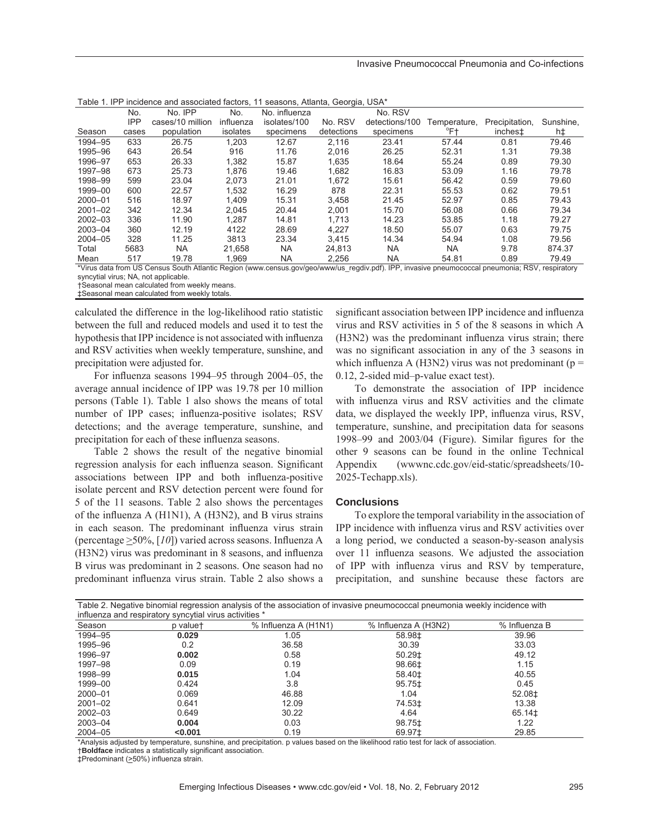| Table T. IPP incluence and associated factors, TT seasons, Atlanta, Georgia, USA                                                                |            |                  |           |               |            |                |              |                     |           |
|-------------------------------------------------------------------------------------------------------------------------------------------------|------------|------------------|-----------|---------------|------------|----------------|--------------|---------------------|-----------|
|                                                                                                                                                 | No.        | No. IPP          | No.       | No. influenza |            | No. RSV        |              |                     |           |
|                                                                                                                                                 | <b>IPP</b> | cases/10 million | influenza | isolates/100  | No. RSV    | detections/100 | Temperature, | Precipitation,      | Sunshine, |
| Season                                                                                                                                          | cases      | population       | isolates  | specimens     | detections | specimens      | °F†          | inches <sup>±</sup> | h‡        |
| 1994-95                                                                                                                                         | 633        | 26.75            | 1.203     | 12.67         | 2.116      | 23.41          | 57.44        | 0.81                | 79.46     |
| 1995-96                                                                                                                                         | 643        | 26.54            | 916       | 11.76         | 2,016      | 26.25          | 52.31        | 1.31                | 79.38     |
| 1996-97                                                                                                                                         | 653        | 26.33            | 1,382     | 15.87         | 1,635      | 18.64          | 55.24        | 0.89                | 79.30     |
| 1997-98                                                                                                                                         | 673        | 25.73            | 1.876     | 19.46         | 1,682      | 16.83          | 53.09        | 1.16                | 79.78     |
| 1998-99                                                                                                                                         | 599        | 23.04            | 2.073     | 21.01         | 1.672      | 15.61          | 56.42        | 0.59                | 79.60     |
| 1999-00                                                                                                                                         | 600        | 22.57            | 1.532     | 16.29         | 878        | 22.31          | 55.53        | 0.62                | 79.51     |
| 2000-01                                                                                                                                         | 516        | 18.97            | 1.409     | 15.31         | 3,458      | 21.45          | 52.97        | 0.85                | 79.43     |
| $2001 - 02$                                                                                                                                     | 342        | 12.34            | 2.045     | 20.44         | 2.001      | 15.70          | 56.08        | 0.66                | 79.34     |
| 2002-03                                                                                                                                         | 336        | 11.90            | 1.287     | 14.81         | 1.713      | 14.23          | 53.85        | 1.18                | 79.27     |
| 2003-04                                                                                                                                         | 360        | 12.19            | 4122      | 28.69         | 4.227      | 18.50          | 55.07        | 0.63                | 79.75     |
| $2004 - 05$                                                                                                                                     | 328        | 11.25            | 3813      | 23.34         | 3.415      | 14.34          | 54.94        | 1.08                | 79.56     |
| Total                                                                                                                                           | 5683       | <b>NA</b>        | 21.658    | NA.           | 24,813     | NA.            | <b>NA</b>    | 9.78                | 874.37    |
| Mean                                                                                                                                            | 517        | 19.78            | 1.969     | NA            | 2,256      | <b>NA</b>      | 54.81        | 0.89                | 79.49     |
| *Virus data from US Census South Atlantic Region (www.census.gov/geo/www/us regdiv.pdf). IPP, invasive pneumococcal pneumonia; RSV, respiratory |            |                  |           |               |            |                |              |                     |           |
|                                                                                                                                                 |            |                  |           |               |            |                |              |                     |           |

Table 1. IPP incidence and associated factors, 11 seasons, Atlanta, Georgia, USA\*

syncytial virus; NA, not applicable.

†Seasonal mean calculated from weekly means. ‡Seasonal mean calculated from weekly totals.

calculated the difference in the log-likelihood ratio statistic between the full and reduced models and used it to test the hypothesis that IPP incidence is not associated with influenza and RSV activities when weekly temperature, sunshine, and precipitation were adjusted for.

For influenza seasons 1994–95 through 2004–05, the average annual incidence of IPP was 19.78 per 10 million persons (Table 1). Table 1 also shows the means of total number of IPP cases; influenza-positive isolates; RSV detections; and the average temperature, sunshine, and precipitation for each of these influenza seasons.

Table 2 shows the result of the negative binomial regression analysis for each influenza season. Significant associations between IPP and both influenza-positive isolate percent and RSV detection percent were found for 5 of the 11 seasons. Table 2 also shows the percentages of the influenza A ( $H1N1$ ), A ( $H3N2$ ), and B virus strains in each season. The predominant influenza virus strain (percentage  $\geq$ 50%, [10]) varied across seasons. Influenza A  $(H3N2)$  virus was predominant in 8 seasons, and influenza B virus was predominant in 2 seasons. One season had no predominant influenza virus strain. Table 2 also shows a

significant association between IPP incidence and influenza virus and RSV activities in 5 of the 8 seasons in which A (H3N2) was the predominant influenza virus strain; there was no significant association in any of the 3 seasons in which influenza A (H3N2) virus was not predominant ( $p =$ 0.12, 2-sided mid–p-value exact test).

To demonstrate the association of IPP incidence with influenza virus and RSV activities and the climate data, we displayed the weekly IPP, influenza virus, RSV, temperature, sunshine, and precipitation data for seasons  $1998-99$  and  $2003/04$  (Figure). Similar figures for the other 9 seasons can be found in the online Technical Appendix (wwwnc.cdc.gov/eid-static/spreadsheets/10- 2025-Techapp.xls).

### **Conclusions**

To explore the temporal variability in the association of IPP incidence with influenza virus and RSV activities over a long period, we conducted a season-by-season analysis over 11 influenza seasons. We adjusted the association of IPP with influenza virus and RSV by temperature, precipitation, and sunshine because these factors are

|             | influenza and respiratory syncytial virus activities * |                      | Table 2. Negative binomial regression analysis of the association of invasive pneumococcal pneumonia weekly incidence with |                    |
|-------------|--------------------------------------------------------|----------------------|----------------------------------------------------------------------------------------------------------------------------|--------------------|
| Season      | p valuet                                               | % Influenza A (H1N1) | % Influenza A (H3N2)                                                                                                       | % Influenza B      |
| 1994-95     | 0.029                                                  | 1.05                 | 58.98‡                                                                                                                     | 39.96              |
| 1995-96     | 0.2                                                    | 36.58                | 30.39                                                                                                                      | 33.03              |
| 1996-97     | 0.002                                                  | 0.58                 | 50.29‡                                                                                                                     | 49.12              |
| 1997-98     | 0.09                                                   | 0.19                 | 98.66‡                                                                                                                     | 1.15               |
| 1998-99     | 0.015                                                  | 1.04                 | 58.40±                                                                                                                     | 40.55              |
| 1999-00     | 0.424                                                  | 3.8                  | 95.75‡                                                                                                                     | 0.45               |
| 2000-01     | 0.069                                                  | 46.88                | 1.04                                                                                                                       | 52.08‡             |
| $2001 - 02$ | 0.641                                                  | 12.09                | 74.53‡                                                                                                                     | 13.38              |
| $2002 - 03$ | 0.649                                                  | 30.22                | 4.64                                                                                                                       | 65.14 <sup>±</sup> |
| 2003-04     | 0.004                                                  | 0.03                 | 98.75‡                                                                                                                     | 1.22               |
| $2004 - 05$ | < 0.001                                                | 0.19                 | 69.97±                                                                                                                     | 29.85              |

\*Analysis adjusted by temperature, sunshine, and precipitation. p values based on the likelihood ratio test for lack of association.

†**Boldface** indicates a statistically significant association.

‡Predominant (>50%) influenza strain.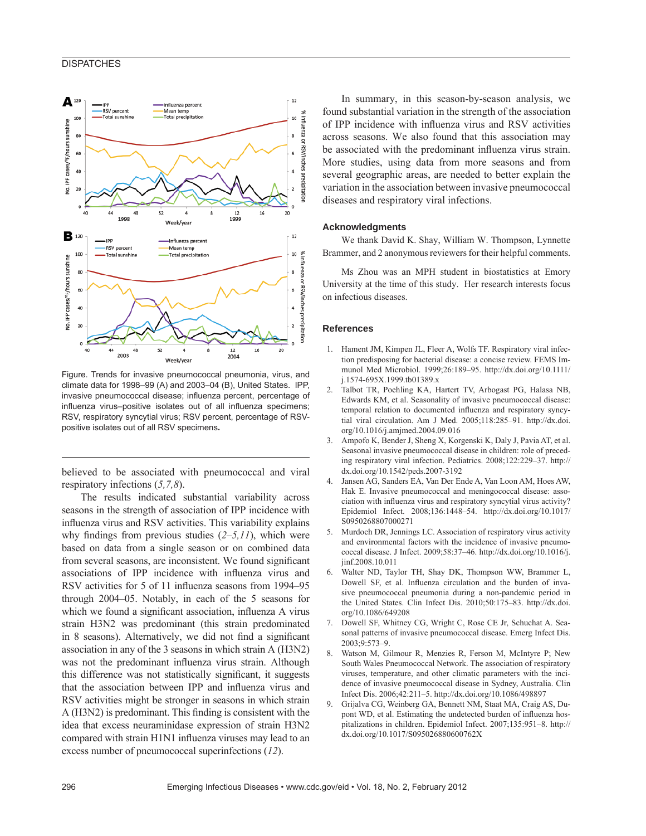## **DISPATCHES**



Figure. Trends for invasive pneumococcal pneumonia, virus, and climate data for 1998–99 (A) and 2003–04 (B), United States. IPP, invasive pneumococcal disease; influenza percent, percentage of influenza virus-positive isolates out of all influenza specimens; RSV, respiratory syncytial virus; RSV percent, percentage of RSVpositive isolates out of all RSV specimens**.** 

believed to be associated with pneumococcal and viral respiratory infections (*5,7,8*).

The results indicated substantial variability across seasons in the strength of association of IPP incidence with influenza virus and RSV activities. This variability explains why findings from previous studies  $(2-5,11)$ , which were based on data from a single season or on combined data from several seasons, are inconsistent. We found significant associations of IPP incidence with influenza virus and RSV activities for 5 of 11 influenza seasons from 1994–95 through 2004–05. Notably, in each of the 5 seasons for which we found a significant association, influenza A virus strain H3N2 was predominant (this strain predominated in 8 seasons). Alternatively, we did not find a significant association in any of the 3 seasons in which strain A (H3N2) was not the predominant influenza virus strain. Although this difference was not statistically significant, it suggests that the association between IPP and influenza virus and RSV activities might be stronger in seasons in which strain  $A$  (H3N2) is predominant. This finding is consistent with the idea that excess neuraminidase expression of strain H3N2 compared with strain H1N1 influenza viruses may lead to an excess number of pneumococcal superinfections (*12*).

In summary, in this season-by-season analysis, we found substantial variation in the strength of the association of IPP incidence with influenza virus and RSV activities across seasons. We also found that this association may be associated with the predominant influenza virus strain. More studies, using data from more seasons and from several geographic areas, are needed to better explain the variation in the association between invasive pneumococcal diseases and respiratory viral infections.

#### **Acknowledgments**

We thank David K. Shay, William W. Thompson, Lynnette Brammer, and 2 anonymous reviewers for their helpful comments.

Ms Zhou was an MPH student in biostatistics at Emory University at the time of this study. Her research interests focus on infectious diseases.

#### **References**

- 1. Hament JM, Kimpen JL, Fleer A, Wolfs TF. Respiratory viral infection predisposing for bacterial disease: a concise review. FEMS Immunol Med Microbiol. 1999;26:189–95. http://dx.doi.org/10.1111/ j.1574-695X.1999.tb01389.x
- 2. Talbot TR, Poehling KA, Hartert TV, Arbogast PG, Halasa NB, Edwards KM, et al. Seasonality of invasive pneumococcal disease: temporal relation to documented influenza and respiratory syncytial viral circulation. Am J Med. 2005;118:285–91. http://dx.doi. org/10.1016/j.amjmed.2004.09.016
- 3. Ampofo K, Bender J, Sheng X, Korgenski K, Daly J, Pavia AT, et al. Seasonal invasive pneumococcal disease in children: role of preceding respiratory viral infection. Pediatrics. 2008;122:229–37. http:// dx.doi.org/10.1542/peds.2007-3192
- 4. Jansen AG, Sanders EA, Van Der Ende A, Van Loon AM, Hoes AW, Hak E. Invasive pneumococcal and meningococcal disease: association with influenza virus and respiratory syncytial virus activity? Epidemiol Infect. 2008;136:1448–54. http://dx.doi.org/10.1017/ S0950268807000271
- 5. Murdoch DR, Jennings LC. Association of respiratory virus activity and environmental factors with the incidence of invasive pneumococcal disease. J Infect. 2009;58:37–46. http://dx.doi.org/10.1016/j. jinf.2008.10.011
- 6. Walter ND, Taylor TH, Shay DK, Thompson WW, Brammer L, Dowell SF, et al. Influenza circulation and the burden of invasive pneumococcal pneumonia during a non-pandemic period in the United States. Clin Infect Dis. 2010;50:175–83. http://dx.doi. org/10.1086/649208
- 7. Dowell SF, Whitney CG, Wright C, Rose CE Jr, Schuchat A. Seasonal patterns of invasive pneumococcal disease. Emerg Infect Dis. 2003;9:573–9.
- 8. Watson M, Gilmour R, Menzies R, Ferson M, McIntyre P; New South Wales Pneumococcal Network. The association of respiratory viruses, temperature, and other climatic parameters with the incidence of invasive pneumococcal disease in Sydney, Australia. Clin Infect Dis. 2006;42:211–5. http://dx.doi.org/10.1086/498897
- 9. Grijalva CG, Weinberg GA, Bennett NM, Staat MA, Craig AS, Dupont WD, et al. Estimating the undetected burden of influenza hospitalizations in children. Epidemiol Infect. 2007;135:951–8. http:// dx.doi.org/10.1017/S095026880600762X